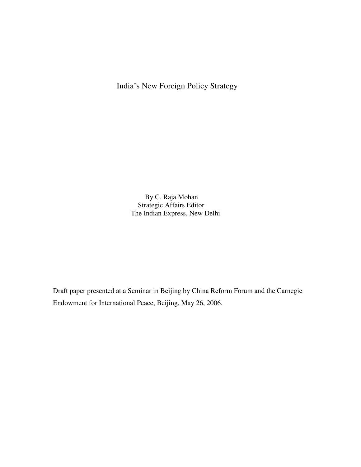India's New Foreign Policy Strategy

 By C. Raja Mohan Strategic Affairs Editor The Indian Express, New Delhi

Draft paper presented at a Seminar in Beijing by China Reform Forum and the Carnegie Endowment for International Peace, Beijing, May 26, 2006.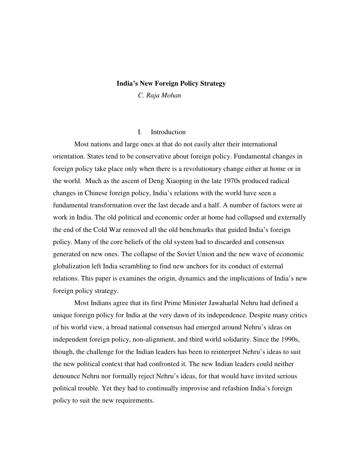#### **India's New Foreign Policy Strategy**

*C. Raja Mohan* 

## I. Introduction

Most nations and large ones at that do not easily alter their international orientation. States tend to be conservative about foreign policy. Fundamental changes in foreign policy take place only when there is a revolutionary change either at home or in the world. Much as the ascent of Deng Xiaoping in the late 1970s produced radical changes in Chinese foreign policy, India's relations with the world have seen a fundamental transformation over the last decade and a half. A number of factors were at work in India. The old political and economic order at home had collapsed and externally the end of the Cold War removed all the old benchmarks that guided India's foreign policy. Many of the core beliefs of the old system had to discarded and consensus generated on new ones. The collapse of the Soviet Union and the new wave of economic globalization left India scrambling to find new anchors for its conduct of external relations. This paper is examines the origin, dynamics and the implications of India's new foreign policy strategy.

Most Indians agree that its first Prime Minister Jawaharlal Nehru had defined a unique foreign policy for India at the very dawn of its independence. Despite many critics of his world view, a broad national consensus had emerged around Nehru's ideas on independent foreign policy, non-alignment, and third world solidarity. Since the 1990s, though, the challenge for the Indian leaders has been to reinterpret Nehru's ideas to suit the new political context that had confronted it. The new Indian leaders could neither denounce Nehru nor formally reject Nehru's ideas, for that would have invited serious political trouble. Yet they had to continually improvise and refashion India's foreign policy to suit the new requirements.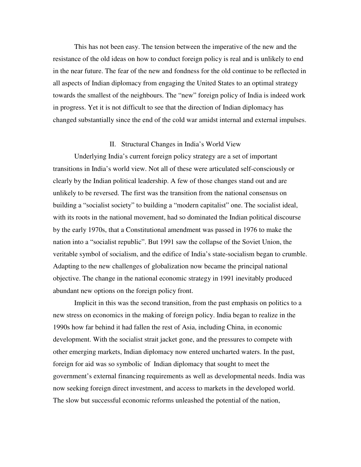This has not been easy. The tension between the imperative of the new and the resistance of the old ideas on how to conduct foreign policy is real and is unlikely to end in the near future. The fear of the new and fondness for the old continue to be reflected in all aspects of Indian diplomacy from engaging the United States to an optimal strategy towards the smallest of the neighbours. The "new" foreign policy of India is indeed work in progress. Yet it is not difficult to see that the direction of Indian diplomacy has changed substantially since the end of the cold war amidst internal and external impulses.

### II. Structural Changes in India's World View

Underlying India's current foreign policy strategy are a set of important transitions in India's world view. Not all of these were articulated self-consciously or clearly by the Indian political leadership. A few of those changes stand out and are unlikely to be reversed. The first was the transition from the national consensus on building a "socialist society" to building a "modern capitalist" one. The socialist ideal, with its roots in the national movement, had so dominated the Indian political discourse by the early 1970s, that a Constitutional amendment was passed in 1976 to make the nation into a "socialist republic". But 1991 saw the collapse of the Soviet Union, the veritable symbol of socialism, and the edifice of India's state-socialism began to crumble. Adapting to the new challenges of globalization now became the principal national objective. The change in the national economic strategy in 1991 inevitably produced abundant new options on the foreign policy front.

Implicit in this was the second transition, from the past emphasis on politics to a new stress on economics in the making of foreign policy. India began to realize in the 1990s how far behind it had fallen the rest of Asia, including China, in economic development. With the socialist strait jacket gone, and the pressures to compete with other emerging markets, Indian diplomacy now entered uncharted waters. In the past, foreign for aid was so symbolic of Indian diplomacy that sought to meet the government's external financing requirements as well as developmental needs. India was now seeking foreign direct investment, and access to markets in the developed world. The slow but successful economic reforms unleashed the potential of the nation,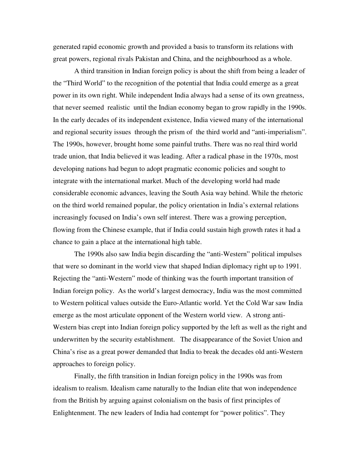generated rapid economic growth and provided a basis to transform its relations with great powers, regional rivals Pakistan and China, and the neighbourhood as a whole.

A third transition in Indian foreign policy is about the shift from being a leader of the "Third World" to the recognition of the potential that India could emerge as a great power in its own right. While independent India always had a sense of its own greatness, that never seemed realistic until the Indian economy began to grow rapidly in the 1990s. In the early decades of its independent existence, India viewed many of the international and regional security issues through the prism of the third world and "anti-imperialism". The 1990s, however, brought home some painful truths. There was no real third world trade union, that India believed it was leading. After a radical phase in the 1970s, most developing nations had begun to adopt pragmatic economic policies and sought to integrate with the international market. Much of the developing world had made considerable economic advances, leaving the South Asia way behind. While the rhetoric on the third world remained popular, the policy orientation in India's external relations increasingly focused on India's own self interest. There was a growing perception, flowing from the Chinese example, that if India could sustain high growth rates it had a chance to gain a place at the international high table.

The 1990s also saw India begin discarding the "anti-Western" political impulses that were so dominant in the world view that shaped Indian diplomacy right up to 1991. Rejecting the "anti-Western" mode of thinking was the fourth important transition of Indian foreign policy. As the world's largest democracy, India was the most committed to Western political values outside the Euro-Atlantic world. Yet the Cold War saw India emerge as the most articulate opponent of the Western world view. A strong anti-Western bias crept into Indian foreign policy supported by the left as well as the right and underwritten by the security establishment. The disappearance of the Soviet Union and China's rise as a great power demanded that India to break the decades old anti-Western approaches to foreign policy.

Finally, the fifth transition in Indian foreign policy in the 1990s was from idealism to realism. Idealism came naturally to the Indian elite that won independence from the British by arguing against colonialism on the basis of first principles of Enlightenment. The new leaders of India had contempt for "power politics". They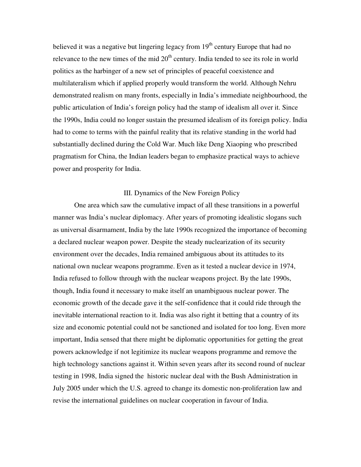believed it was a negative but lingering legacy from  $19<sup>th</sup>$  century Europe that had no relevance to the new times of the mid  $20<sup>th</sup>$  century. India tended to see its role in world politics as the harbinger of a new set of principles of peaceful coexistence and multilateralism which if applied properly would transform the world. Although Nehru demonstrated realism on many fronts, especially in India's immediate neighbourhood, the public articulation of India's foreign policy had the stamp of idealism all over it. Since the 1990s, India could no longer sustain the presumed idealism of its foreign policy. India had to come to terms with the painful reality that its relative standing in the world had substantially declined during the Cold War. Much like Deng Xiaoping who prescribed pragmatism for China, the Indian leaders began to emphasize practical ways to achieve power and prosperity for India.

### III. Dynamics of the New Foreign Policy

One area which saw the cumulative impact of all these transitions in a powerful manner was India's nuclear diplomacy. After years of promoting idealistic slogans such as universal disarmament, India by the late 1990s recognized the importance of becoming a declared nuclear weapon power. Despite the steady nuclearization of its security environment over the decades, India remained ambiguous about its attitudes to its national own nuclear weapons programme. Even as it tested a nuclear device in 1974, India refused to follow through with the nuclear weapons project. By the late 1990s, though, India found it necessary to make itself an unambiguous nuclear power. The economic growth of the decade gave it the self-confidence that it could ride through the inevitable international reaction to it. India was also right it betting that a country of its size and economic potential could not be sanctioned and isolated for too long. Even more important, India sensed that there might be diplomatic opportunities for getting the great powers acknowledge if not legitimize its nuclear weapons programme and remove the high technology sanctions against it. Within seven years after its second round of nuclear testing in 1998, India signed the historic nuclear deal with the Bush Administration in July 2005 under which the U.S. agreed to change its domestic non-proliferation law and revise the international guidelines on nuclear cooperation in favour of India.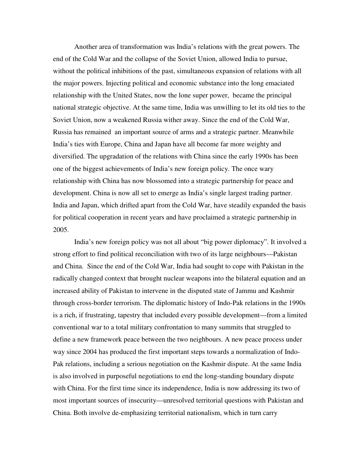Another area of transformation was India's relations with the great powers. The end of the Cold War and the collapse of the Soviet Union, allowed India to pursue, without the political inhibitions of the past, simultaneous expansion of relations with all the major powers. Injecting political and economic substance into the long emaciated relationship with the United States, now the lone super power, became the principal national strategic objective. At the same time, India was unwilling to let its old ties to the Soviet Union, now a weakened Russia wither away. Since the end of the Cold War, Russia has remained an important source of arms and a strategic partner. Meanwhile India's ties with Europe, China and Japan have all become far more weighty and diversified. The upgradation of the relations with China since the early 1990s has been one of the biggest achievements of India's new foreign policy. The once wary relationship with China has now blossomed into a strategic partnership for peace and development. China is now all set to emerge as India's single largest trading partner. India and Japan, which drifted apart from the Cold War, have steadily expanded the basis for political cooperation in recent years and have proclaimed a strategic partnership in 2005.

India's new foreign policy was not all about "big power diplomacy". It involved a strong effort to find political reconciliation with two of its large neighbours—Pakistan and China. Since the end of the Cold War, India had sought to cope with Pakistan in the radically changed context that brought nuclear weapons into the bilateral equation and an increased ability of Pakistan to intervene in the disputed state of Jammu and Kashmir through cross-border terrorism. The diplomatic history of Indo-Pak relations in the 1990s is a rich, if frustrating, tapestry that included every possible development—from a limited conventional war to a total military confrontation to many summits that struggled to define a new framework peace between the two neighbours. A new peace process under way since 2004 has produced the first important steps towards a normalization of Indo-Pak relations, including a serious negotiation on the Kashmir dispute. At the same India is also involved in purposeful negotiations to end the long-standing boundary dispute with China. For the first time since its independence, India is now addressing its two of most important sources of insecurity—unresolved territorial questions with Pakistan and China. Both involve de-emphasizing territorial nationalism, which in turn carry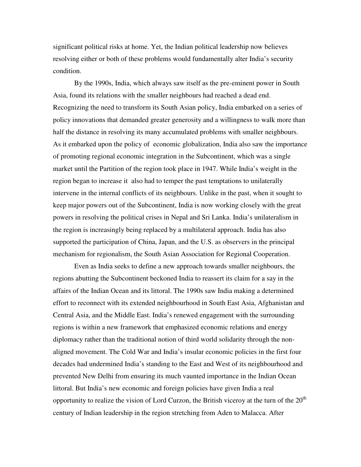significant political risks at home. Yet, the Indian political leadership now believes resolving either or both of these problems would fundamentally alter India's security condition.

By the 1990s, India, which always saw itself as the pre-eminent power in South Asia, found its relations with the smaller neighbours had reached a dead end. Recognizing the need to transform its South Asian policy, India embarked on a series of policy innovations that demanded greater generosity and a willingness to walk more than half the distance in resolving its many accumulated problems with smaller neighbours. As it embarked upon the policy of economic globalization, India also saw the importance of promoting regional economic integration in the Subcontinent, which was a single market until the Partition of the region took place in 1947. While India's weight in the region began to increase it also had to temper the past temptations to unilaterally intervene in the internal conflicts of its neighbours. Unlike in the past, when it sought to keep major powers out of the Subcontinent, India is now working closely with the great powers in resolving the political crises in Nepal and Sri Lanka. India's unilateralism in the region is increasingly being replaced by a multilateral approach. India has also supported the participation of China, Japan, and the U.S. as observers in the principal mechanism for regionalism, the South Asian Association for Regional Cooperation.

Even as India seeks to define a new approach towards smaller neighbours, the regions abutting the Subcontinent beckoned India to reassert its claim for a say in the affairs of the Indian Ocean and its littoral. The 1990s saw India making a determined effort to reconnect with its extended neighbourhood in South East Asia, Afghanistan and Central Asia, and the Middle East. India's renewed engagement with the surrounding regions is within a new framework that emphasized economic relations and energy diplomacy rather than the traditional notion of third world solidarity through the nonaligned movement. The Cold War and India's insular economic policies in the first four decades had undermined India's standing to the East and West of its neighbourhood and prevented New Delhi from ensuring its much vaunted importance in the Indian Ocean littoral. But India's new economic and foreign policies have given India a real opportunity to realize the vision of Lord Curzon, the British viceroy at the turn of the  $20<sup>th</sup>$ century of Indian leadership in the region stretching from Aden to Malacca. After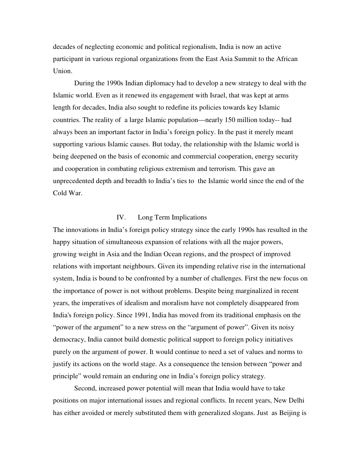decades of neglecting economic and political regionalism, India is now an active participant in various regional organizations from the East Asia Summit to the African Union.

During the 1990s Indian diplomacy had to develop a new strategy to deal with the Islamic world. Even as it renewed its engagement with Israel, that was kept at arms length for decades, India also sought to redefine its policies towards key Islamic countries. The reality of a large Islamic population—nearly 150 million today-- had always been an important factor in India's foreign policy. In the past it merely meant supporting various Islamic causes. But today, the relationship with the Islamic world is being deepened on the basis of economic and commercial cooperation, energy security and cooperation in combating religious extremism and terrorism. This gave an unprecedented depth and breadth to India's ties to the Islamic world since the end of the Cold War.

# IV. Long Term Implications

The innovations in India's foreign policy strategy since the early 1990s has resulted in the happy situation of simultaneous expansion of relations with all the major powers, growing weight in Asia and the Indian Ocean regions, and the prospect of improved relations with important neighbours. Given its impending relative rise in the international system, India is bound to be confronted by a number of challenges. First the new focus on the importance of power is not without problems. Despite being marginalized in recent years, the imperatives of idealism and moralism have not completely disappeared from India's foreign policy. Since 1991, India has moved from its traditional emphasis on the "power of the argument" to a new stress on the "argument of power". Given its noisy democracy, India cannot build domestic political support to foreign policy initiatives purely on the argument of power. It would continue to need a set of values and norms to justify its actions on the world stage. As a consequence the tension between "power and principle" would remain an enduring one in India's foreign policy strategy.

Second, increased power potential will mean that India would have to take positions on major international issues and regional conflicts. In recent years, New Delhi has either avoided or merely substituted them with generalized slogans. Just as Beijing is